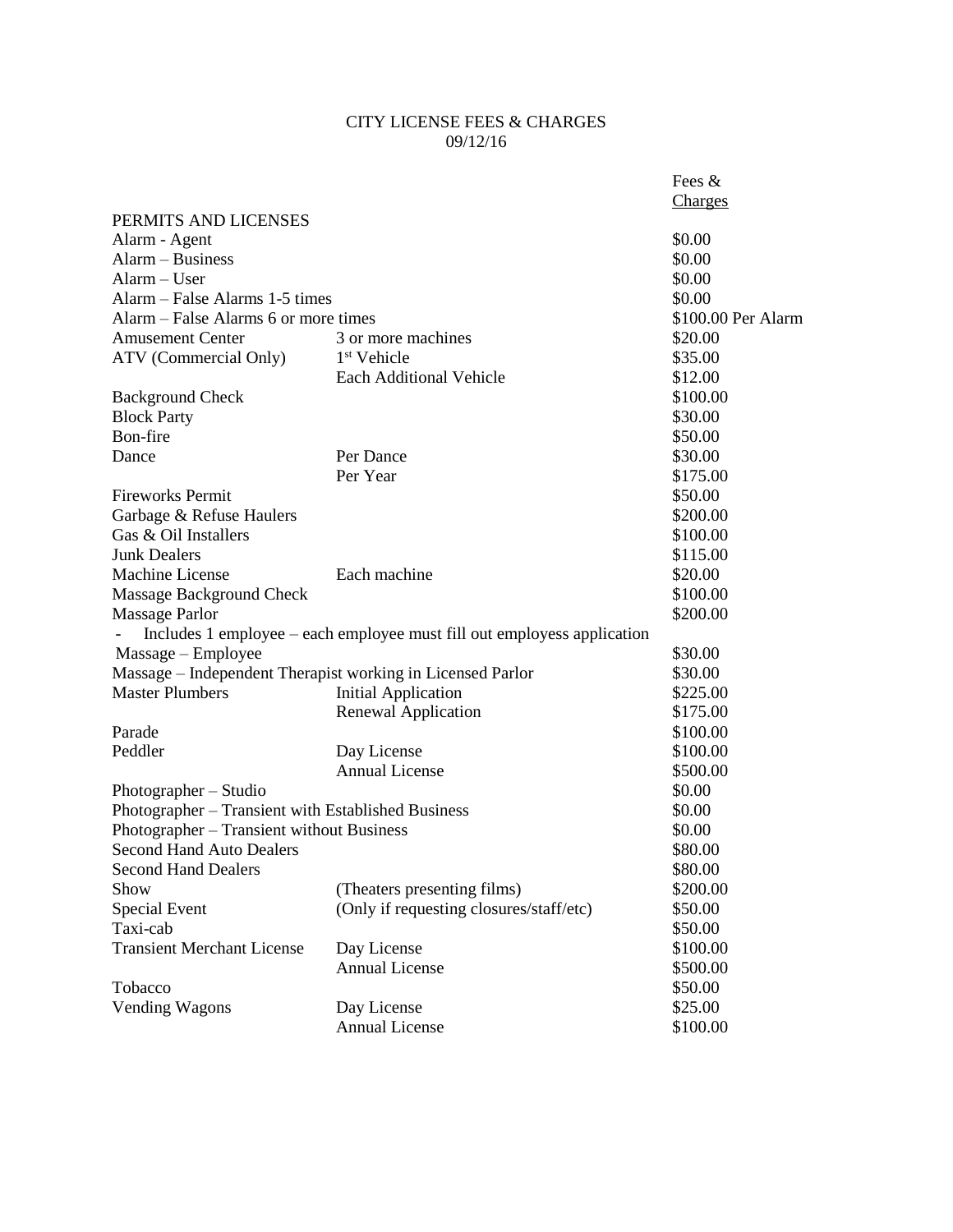## CITY LICENSE FEES & CHARGES 09/12/16

|                                                    |                                                                         | Fees &             |
|----------------------------------------------------|-------------------------------------------------------------------------|--------------------|
|                                                    |                                                                         | Charges            |
| PERMITS AND LICENSES                               |                                                                         |                    |
| Alarm - Agent                                      |                                                                         | \$0.00             |
| $\text{Alarm} - \text{Business}$                   |                                                                         | \$0.00             |
| Alarm - User                                       |                                                                         | \$0.00             |
| Alarm – False Alarms 1-5 times                     |                                                                         | \$0.00             |
| Alarm – False Alarms 6 or more times               |                                                                         | \$100.00 Per Alarm |
| <b>Amusement Center</b>                            | 3 or more machines                                                      | \$20.00            |
| ATV (Commercial Only)                              | 1 <sup>st</sup> Vehicle                                                 | \$35.00            |
|                                                    | <b>Each Additional Vehicle</b>                                          | \$12.00            |
| <b>Background Check</b>                            |                                                                         | \$100.00           |
| <b>Block Party</b>                                 |                                                                         | \$30.00            |
| Bon-fire                                           |                                                                         | \$50.00            |
| Dance                                              | Per Dance                                                               | \$30.00            |
|                                                    | Per Year                                                                | \$175.00           |
| <b>Fireworks Permit</b>                            |                                                                         | \$50.00            |
| Garbage & Refuse Haulers                           |                                                                         | \$200.00           |
| Gas & Oil Installers                               |                                                                         | \$100.00           |
| <b>Junk Dealers</b>                                |                                                                         | \$115.00           |
| Machine License                                    | Each machine                                                            | \$20.00            |
| Massage Background Check                           |                                                                         | \$100.00           |
| Massage Parlor                                     |                                                                         | \$200.00           |
|                                                    | Includes 1 employee – each employee must fill out employess application |                    |
| $Massage - Employee$                               |                                                                         | \$30.00            |
|                                                    | Massage - Independent Therapist working in Licensed Parlor              | \$30.00            |
| <b>Master Plumbers</b>                             | <b>Initial Application</b>                                              | \$225.00           |
|                                                    | Renewal Application                                                     | \$175.00           |
| Parade                                             |                                                                         | \$100.00           |
| Peddler                                            | Day License                                                             | \$100.00           |
|                                                    | <b>Annual License</b>                                                   | \$500.00           |
| Photographer - Studio                              |                                                                         | \$0.00             |
| Photographer - Transient with Established Business |                                                                         | \$0.00             |
| Photographer - Transient without Business          |                                                                         | \$0.00             |
| <b>Second Hand Auto Dealers</b>                    |                                                                         | \$80.00            |
| <b>Second Hand Dealers</b>                         |                                                                         | \$80.00            |
| Show                                               | (Theaters presenting films)                                             | \$200.00           |
| Special Event                                      | (Only if requesting closures/staff/etc)                                 | \$50.00            |
| Taxi-cab                                           |                                                                         | \$50.00            |
| <b>Transient Merchant License</b>                  | Day License                                                             | \$100.00           |
|                                                    | <b>Annual License</b>                                                   | \$500.00           |
| Tobacco                                            |                                                                         | \$50.00            |
| <b>Vending Wagons</b>                              | Day License                                                             | \$25.00            |
|                                                    | <b>Annual License</b>                                                   | \$100.00           |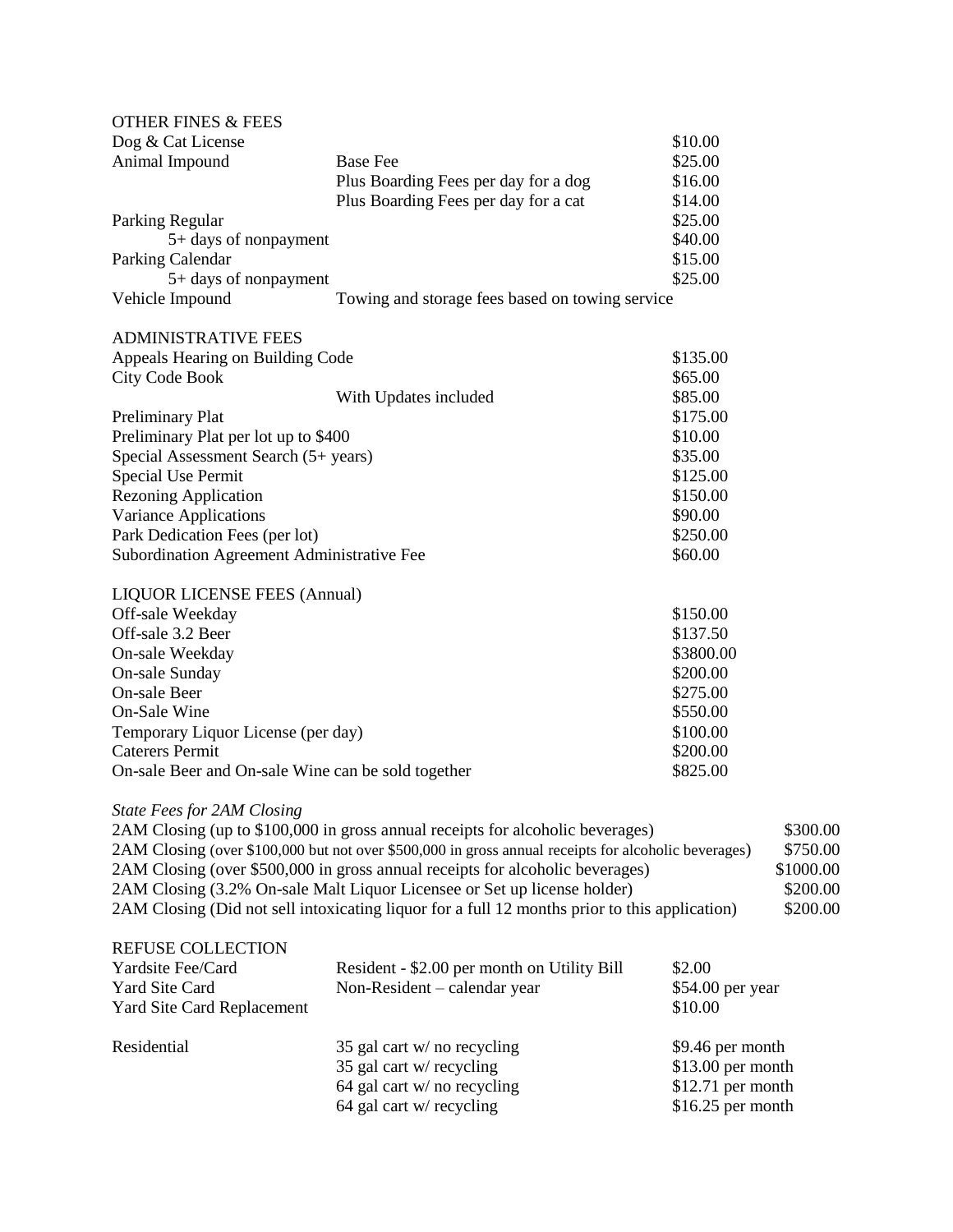| <b>OTHER FINES &amp; FEES</b>                      |                                                                                                      |                   |                                         |  |
|----------------------------------------------------|------------------------------------------------------------------------------------------------------|-------------------|-----------------------------------------|--|
| Dog & Cat License                                  |                                                                                                      | \$10.00           |                                         |  |
| Animal Impound                                     | <b>Base Fee</b>                                                                                      | \$25.00           |                                         |  |
|                                                    | Plus Boarding Fees per day for a dog                                                                 | \$16.00           |                                         |  |
|                                                    | Plus Boarding Fees per day for a cat                                                                 | \$14.00           |                                         |  |
| Parking Regular                                    |                                                                                                      | \$25.00           |                                         |  |
| 5+ days of nonpayment                              |                                                                                                      | \$40.00           |                                         |  |
| Parking Calendar                                   |                                                                                                      | \$15.00           |                                         |  |
| 5+ days of nonpayment                              |                                                                                                      | \$25.00           |                                         |  |
| Vehicle Impound                                    | Towing and storage fees based on towing service                                                      |                   |                                         |  |
| <b>ADMINISTRATIVE FEES</b>                         |                                                                                                      |                   |                                         |  |
| Appeals Hearing on Building Code                   |                                                                                                      | \$135.00          |                                         |  |
| <b>City Code Book</b>                              |                                                                                                      | \$65.00           |                                         |  |
|                                                    | With Updates included                                                                                | \$85.00           |                                         |  |
| <b>Preliminary Plat</b>                            |                                                                                                      | \$175.00          |                                         |  |
| Preliminary Plat per lot up to \$400               |                                                                                                      | \$10.00           |                                         |  |
| Special Assessment Search (5+ years)               |                                                                                                      | \$35.00           |                                         |  |
| <b>Special Use Permit</b>                          |                                                                                                      | \$125.00          |                                         |  |
| <b>Rezoning Application</b>                        |                                                                                                      | \$150.00          |                                         |  |
| <b>Variance Applications</b>                       |                                                                                                      | \$90.00           |                                         |  |
| Park Dedication Fees (per lot)                     |                                                                                                      | \$250.00          |                                         |  |
| Subordination Agreement Administrative Fee         |                                                                                                      | \$60.00           |                                         |  |
|                                                    |                                                                                                      |                   |                                         |  |
| <b>LIQUOR LICENSE FEES (Annual)</b>                |                                                                                                      |                   |                                         |  |
| Off-sale Weekday                                   |                                                                                                      | \$150.00          |                                         |  |
| Off-sale 3.2 Beer                                  |                                                                                                      | \$137.50          |                                         |  |
| On-sale Weekday                                    |                                                                                                      | \$3800.00         |                                         |  |
| On-sale Sunday                                     |                                                                                                      | \$200.00          |                                         |  |
| On-sale Beer                                       |                                                                                                      | \$275.00          |                                         |  |
| On-Sale Wine                                       |                                                                                                      | \$550.00          |                                         |  |
| Temporary Liquor License (per day)                 |                                                                                                      | \$100.00          |                                         |  |
| <b>Caterers Permit</b>                             |                                                                                                      | \$200.00          |                                         |  |
| On-sale Beer and On-sale Wine can be sold together |                                                                                                      | \$825.00          |                                         |  |
| <b>State Fees for 2AM Closing</b>                  |                                                                                                      |                   |                                         |  |
|                                                    | 2AM Closing (up to \$100,000 in gross annual receipts for alcoholic beverages)                       |                   | \$300.00                                |  |
|                                                    | 2AM Closing (over \$100,000 but not over \$500,000 in gross annual receipts for alcoholic beverages) |                   | \$750.00                                |  |
|                                                    | 2AM Closing (over \$500,000 in gross annual receipts for alcoholic beverages)                        |                   | \$1000.00                               |  |
|                                                    | 2AM Closing (3.2% On-sale Malt Liquor Licensee or Set up license holder)                             |                   | \$200.00                                |  |
|                                                    | 2AM Closing (Did not sell intoxicating liquor for a full 12 months prior to this application)        |                   | \$200.00                                |  |
|                                                    |                                                                                                      |                   |                                         |  |
| <b>REFUSE COLLECTION</b>                           |                                                                                                      |                   |                                         |  |
| Yardsite Fee/Card                                  | Resident - \$2.00 per month on Utility Bill                                                          | \$2.00            |                                         |  |
| <b>Yard Site Card</b>                              | Non-Resident – calendar year                                                                         | \$54.00 per year  |                                         |  |
| <b>Yard Site Card Replacement</b>                  |                                                                                                      | \$10.00           |                                         |  |
| Residential                                        | 35 gal cart w/ no recycling                                                                          | \$9.46 per month  |                                         |  |
|                                                    | 35 gal cart w/ recycling                                                                             |                   | $$13.00$ per month<br>\$12.71 per month |  |
|                                                    | 64 gal cart w/ no recycling                                                                          |                   |                                         |  |
|                                                    | 64 gal cart w/ recycling                                                                             | \$16.25 per month |                                         |  |
|                                                    |                                                                                                      |                   |                                         |  |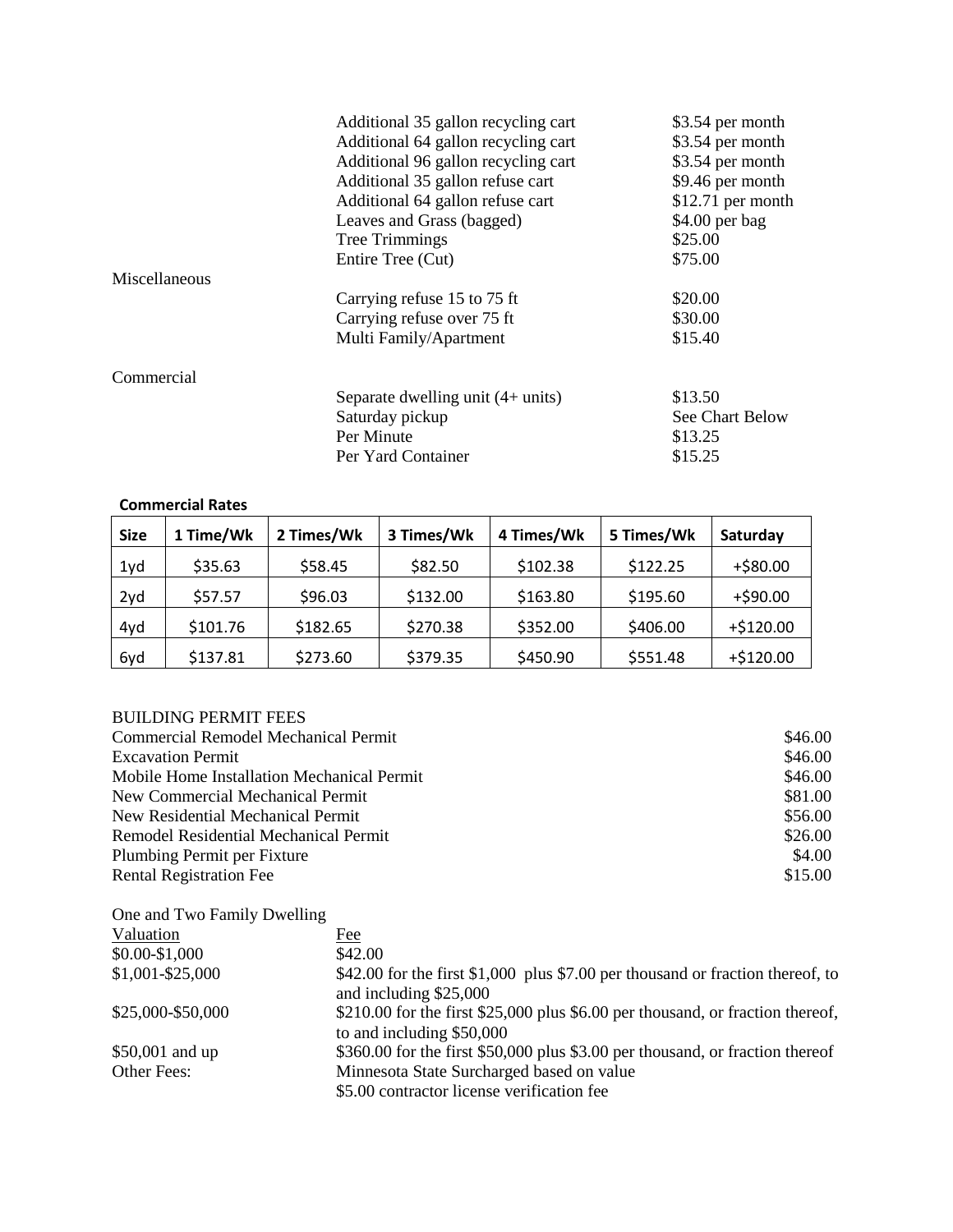|               | Additional 35 gallon recycling cart | \$3.54 per month  |
|---------------|-------------------------------------|-------------------|
|               | Additional 64 gallon recycling cart | \$3.54 per month  |
|               | Additional 96 gallon recycling cart | \$3.54 per month  |
|               | Additional 35 gallon refuse cart    | \$9.46 per month  |
|               | Additional 64 gallon refuse cart    | \$12.71 per month |
|               | Leaves and Grass (bagged)           | $$4.00$ per bag   |
|               | Tree Trimmings                      | \$25.00           |
|               | Entire Tree (Cut)                   | \$75.00           |
| Miscellaneous |                                     |                   |
|               | Carrying refuse 15 to 75 ft         | \$20.00           |
|               | Carrying refuse over 75 ft          | \$30.00           |
|               | Multi Family/Apartment              | \$15.40           |
| Commercial    |                                     |                   |
|               | Separate dwelling unit $(4+$ units) | \$13.50           |
|               | Saturday pickup                     | See Chart Below   |
|               | Per Minute                          | \$13.25           |
|               | Per Yard Container                  | \$15.25           |

## **Commercial Rates**

| <b>Size</b> | 1 Time/Wk | 2 Times/Wk | 3 Times/Wk | 4 Times/Wk | 5 Times/Wk | Saturday    |
|-------------|-----------|------------|------------|------------|------------|-------------|
| 1yd         | \$35.63   | \$58.45    | \$82.50    | \$102.38   | \$122.25   | $+ $80.00$  |
| 2yd         | \$57.57   | \$96.03    | \$132.00   | \$163.80   | \$195.60   | $+$ \$90.00 |
| 4yd         | \$101.76  | \$182.65   | \$270.38   | \$352.00   | \$406.00   | $+ $120.00$ |
| 6yd         | \$137.81  | \$273.60   | \$379.35   | \$450.90   | \$551.48   | $+ $120.00$ |

## BUILDING PERMIT FEES

| <b>Commercial Remodel Mechanical Permit</b> | \$46.00 |
|---------------------------------------------|---------|
| <b>Excavation Permit</b>                    | \$46.00 |
| Mobile Home Installation Mechanical Permit  | \$46.00 |
| New Commercial Mechanical Permit            | \$81.00 |
| New Residential Mechanical Permit           | \$56.00 |
| Remodel Residential Mechanical Permit       | \$26.00 |
| Plumbing Permit per Fixture                 | \$4.00  |
| <b>Rental Registration Fee</b>              | \$15.00 |

| One and Two Family Dwelling |                                                                                                             |
|-----------------------------|-------------------------------------------------------------------------------------------------------------|
| Valuation                   | Fee                                                                                                         |
| \$0.00-\$1,000              | \$42.00                                                                                                     |
| $$1,001 - $25,000$          | \$42.00 for the first \$1,000 plus \$7.00 per thousand or fraction thereof, to<br>and including \$25,000    |
| \$25,000-\$50,000           | \$210.00 for the first \$25,000 plus \$6.00 per thousand, or fraction thereof,<br>to and including \$50,000 |
| \$50,001 and up             | \$360.00 for the first \$50,000 plus \$3.00 per thousand, or fraction thereof                               |
| Other Fees:                 | Minnesota State Surcharged based on value<br>\$5.00 contractor license verification fee                     |